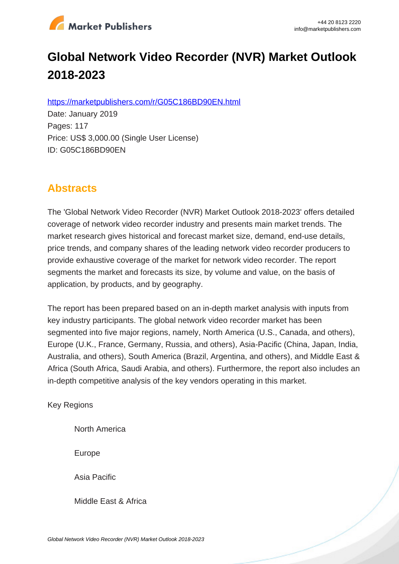

# **Global Network Video Recorder (NVR) Market Outlook 2018-2023**

https://marketpublishers.com/r/G05C186BD90EN.html

Date: January 2019 Pages: 117 Price: US\$ 3,000.00 (Single User License) ID: G05C186BD90EN

# **Abstracts**

The 'Global Network Video Recorder (NVR) Market Outlook 2018-2023' offers detailed coverage of network video recorder industry and presents main market trends. The market research gives historical and forecast market size, demand, end-use details, price trends, and company shares of the leading network video recorder producers to provide exhaustive coverage of the market for network video recorder. The report segments the market and forecasts its size, by volume and value, on the basis of application, by products, and by geography.

The report has been prepared based on an in-depth market analysis with inputs from key industry participants. The global network video recorder market has been segmented into five major regions, namely, North America (U.S., Canada, and others), Europe (U.K., France, Germany, Russia, and others), Asia-Pacific (China, Japan, India, Australia, and others), South America (Brazil, Argentina, and others), and Middle East & Africa (South Africa, Saudi Arabia, and others). Furthermore, the report also includes an in-depth competitive analysis of the key vendors operating in this market.

Key Regions

North America

Europe

Asia Pacific

Middle East & Africa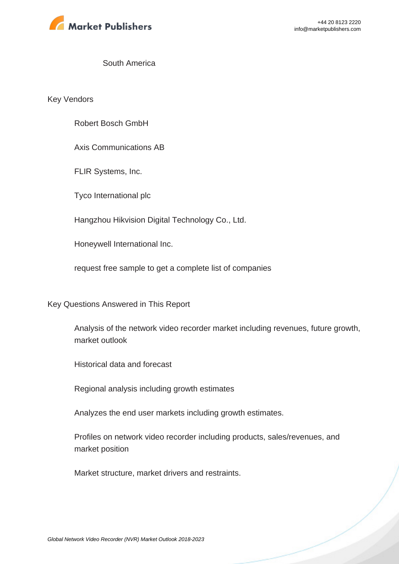

#### South America

Key Vendors

Robert Bosch GmbH

Axis Communications AB

FLIR Systems, Inc.

Tyco International plc

Hangzhou Hikvision Digital Technology Co., Ltd.

Honeywell International Inc.

request free sample to get a complete list of companies

Key Questions Answered in This Report

Analysis of the network video recorder market including revenues, future growth, market outlook

Historical data and forecast

Regional analysis including growth estimates

Analyzes the end user markets including growth estimates.

Profiles on network video recorder including products, sales/revenues, and market position

Market structure, market drivers and restraints.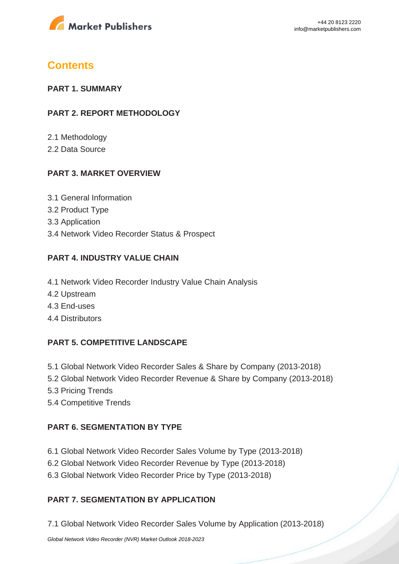

# **Contents**

#### **PART 1. SUMMARY**

#### **PART 2. REPORT METHODOLOGY**

2.1 Methodology

2.2 Data Source

## **PART 3. MARKET OVERVIEW**

- 3.1 General Information
- 3.2 Product Type
- 3.3 Application
- 3.4 Network Video Recorder Status & Prospect

# **PART 4. INDUSTRY VALUE CHAIN**

- 4.1 Network Video Recorder Industry Value Chain Analysis
- 4.2 Upstream
- 4.3 End-uses
- 4.4 Distributors

## **PART 5. COMPETITIVE LANDSCAPE**

- 5.1 Global Network Video Recorder Sales & Share by Company (2013-2018)
- 5.2 Global Network Video Recorder Revenue & Share by Company (2013-2018)
- 5.3 Pricing Trends
- 5.4 Competitive Trends

## **PART 6. SEGMENTATION BY TYPE**

- 6.1 Global Network Video Recorder Sales Volume by Type (2013-2018)
- 6.2 Global Network Video Recorder Revenue by Type (2013-2018)
- 6.3 Global Network Video Recorder Price by Type (2013-2018)

## **PART 7. SEGMENTATION BY APPLICATION**

7.1 Global Network Video Recorder Sales Volume by Application (2013-2018)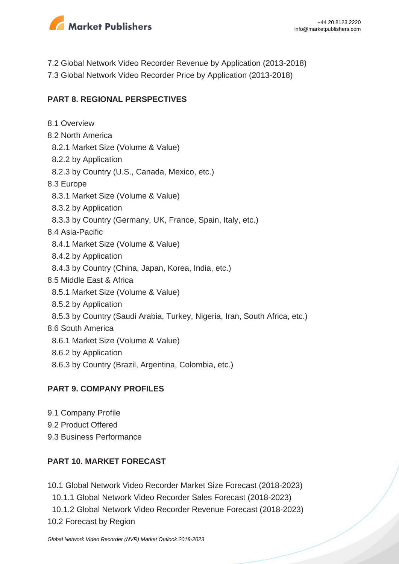

7.2 Global Network Video Recorder Revenue by Application (2013-2018) 7.3 Global Network Video Recorder Price by Application (2013-2018)

#### **PART 8. REGIONAL PERSPECTIVES**

- 8.1 Overview
- 8.2 North America
- 8.2.1 Market Size (Volume & Value)
- 8.2.2 by Application
- 8.2.3 by Country (U.S., Canada, Mexico, etc.)
- 8.3 Europe
	- 8.3.1 Market Size (Volume & Value)
- 8.3.2 by Application
- 8.3.3 by Country (Germany, UK, France, Spain, Italy, etc.)
- 8.4 Asia-Pacific
	- 8.4.1 Market Size (Volume & Value)
- 8.4.2 by Application
- 8.4.3 by Country (China, Japan, Korea, India, etc.)
- 8.5 Middle East & Africa
	- 8.5.1 Market Size (Volume & Value)
	- 8.5.2 by Application
- 8.5.3 by Country (Saudi Arabia, Turkey, Nigeria, Iran, South Africa, etc.)
- 8.6 South America
	- 8.6.1 Market Size (Volume & Value)
	- 8.6.2 by Application
	- 8.6.3 by Country (Brazil, Argentina, Colombia, etc.)

## **PART 9. COMPANY PROFILES**

- 9.1 Company Profile
- 9.2 Product Offered
- 9.3 Business Performance

## **PART 10. MARKET FORECAST**

- 10.1 Global Network Video Recorder Market Size Forecast (2018-2023)
	- 10.1.1 Global Network Video Recorder Sales Forecast (2018-2023)
- 10.1.2 Global Network Video Recorder Revenue Forecast (2018-2023)
- 10.2 Forecast by Region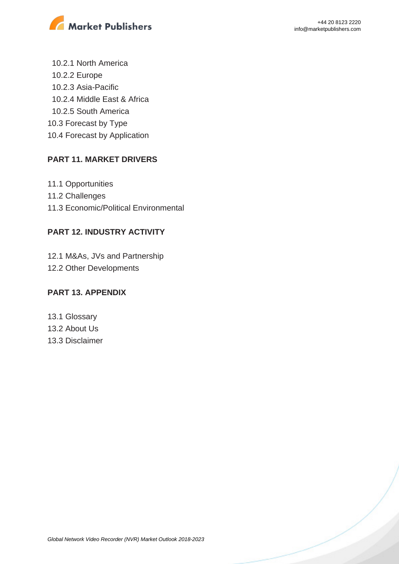

 10.2.1 North America 10.2.2 Europe 10.2.3 Asia-Pacific 10.2.4 Middle East & Africa 10.2.5 South America 10.3 Forecast by Type 10.4 Forecast by Application

#### **PART 11. MARKET DRIVERS**

11.1 Opportunities 11.2 Challenges 11.3 Economic/Political Environmental

#### **PART 12. INDUSTRY ACTIVITY**

12.1 M&As, JVs and Partnership 12.2 Other Developments

#### **PART 13. APPENDIX**

13.1 Glossary 13.2 About Us 13.3 Disclaimer